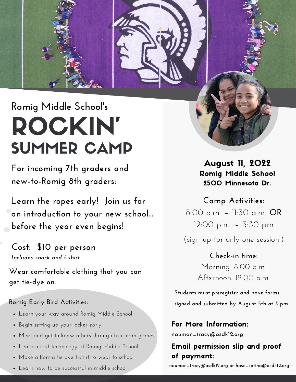## **Romig Middle School' s** ROCKIN' SUMMER CAMP

**For incoming 7th graders and new-to-Romig 8th graders:**

**Learn the ropes early! Join us for an introduction to your new school... before the year even begins!**

**Cost: \$10 per person** *Includes snack and t-shirt*

**Wear comfortable clothing that you can get tie-dye on.**

## **Romig Early Bird Activities:**

- Learn your way around Romig Middle School
- Begin setting up your locker early
- Meet and get to know others through fun team games
- Learn about technology at Romig Middle School
- Make a Romig tie dye t-shirt to wear to school
- Learn how to be successful in middle school

August 11, 2022 Romig Middle School 2500 Minnesota Dr.

(sign up for only one session.) **Camp Activities:** 8:00 a.m. – 11:30 a.m. **OR** 12:00 p.m. – 3:30 pm

> **Check-in time:** Morning: 8:00 a.m. Afternoon: 12:00 p.m.

**Students must preregister and have forms signed and submitted by August 5th at 3 pm.**

For More Information: nauman\_tracy@asdk12.org

## Email permission slip and proof of payment:

nauman\_tracy@asdk12.org or hase\_corina@asdk12.org